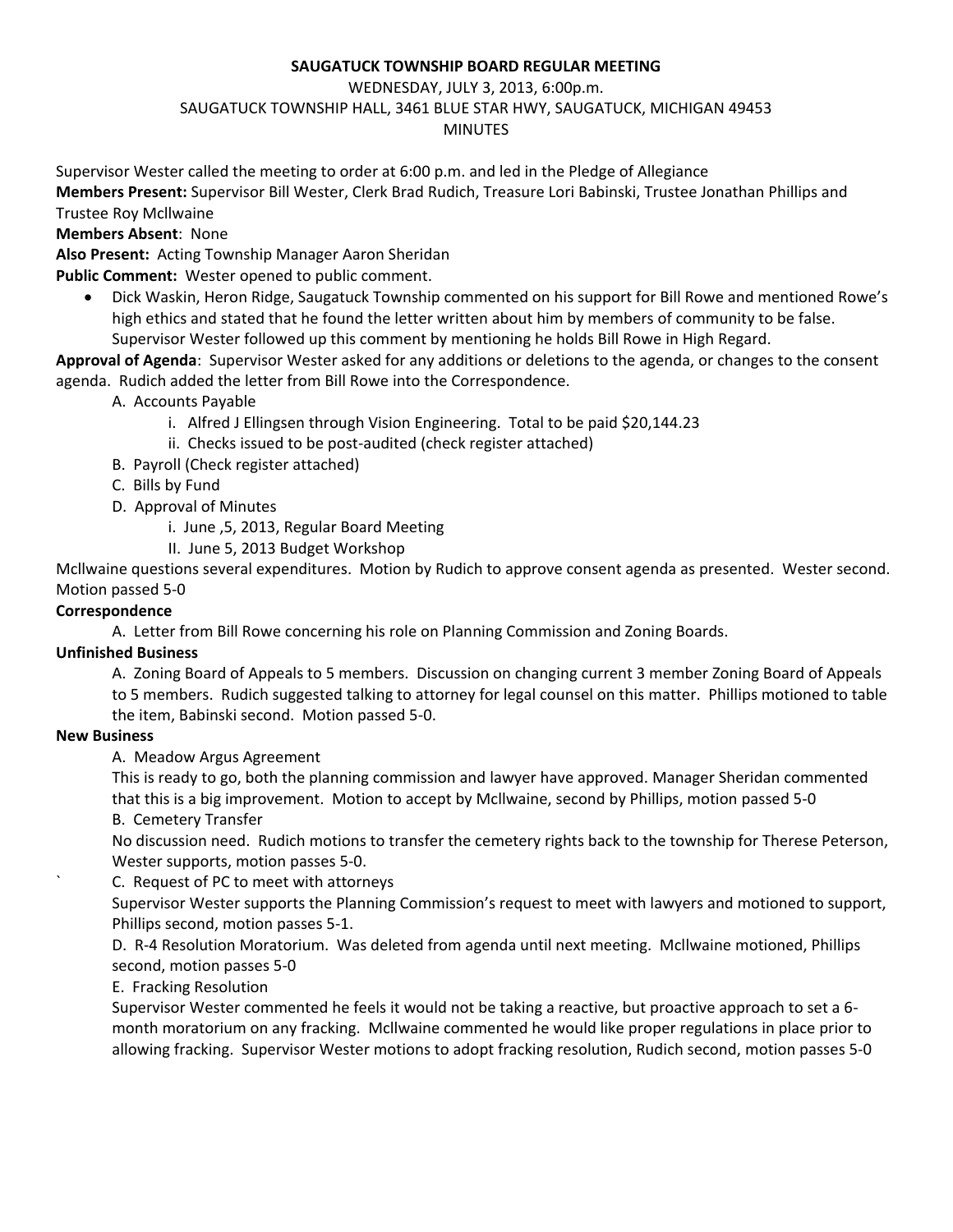### **SAUGATUCK TOWNSHIP BOARD REGULAR MEETING**

### WEDNESDAY, JULY 3, 2013, 6:00p.m.

SAUGATUCK TOWNSHIP HALL, 3461 BLUE STAR HWY, SAUGATUCK, MICHIGAN 49453

# MINUTES

Supervisor Wester called the meeting to order at 6:00 p.m. and led in the Pledge of Allegiance

**Members Present:** Supervisor Bill Wester, Clerk Brad Rudich, Treasure Lori Babinski, Trustee Jonathan Phillips and Trustee Roy Mcllwaine

# **Members Absent**: None

**Also Present:** Acting Township Manager Aaron Sheridan

**Public Comment:** Wester opened to public comment.

 Dick Waskin, Heron Ridge, Saugatuck Township commented on his support for Bill Rowe and mentioned Rowe's high ethics and stated that he found the letter written about him by members of community to be false. Supervisor Wester followed up this comment by mentioning he holds Bill Rowe in High Regard.

**Approval of Agenda**: Supervisor Wester asked for any additions or deletions to the agenda, or changes to the consent agenda. Rudich added the letter from Bill Rowe into the Correspondence.

- A. Accounts Payable
	- i. Alfred J Ellingsen through Vision Engineering. Total to be paid \$20,144.23
	- ii. Checks issued to be post-audited (check register attached)
- B. Payroll (Check register attached)
- C. Bills by Fund
- D. Approval of Minutes
	- i. June ,5, 2013, Regular Board Meeting
	- II. June 5, 2013 Budget Workshop

Mcllwaine questions several expenditures. Motion by Rudich to approve consent agenda as presented. Wester second. Motion passed 5-0

# **Correspondence**

A. Letter from Bill Rowe concerning his role on Planning Commission and Zoning Boards.

### **Unfinished Business**

A. Zoning Board of Appeals to 5 members. Discussion on changing current 3 member Zoning Board of Appeals to 5 members. Rudich suggested talking to attorney for legal counsel on this matter. Phillips motioned to table the item, Babinski second. Motion passed 5-0.

### **New Business**

A. Meadow Argus Agreement

This is ready to go, both the planning commission and lawyer have approved. Manager Sheridan commented that this is a big improvement. Motion to accept by Mcllwaine, second by Phillips, motion passed 5-0 B. Cemetery Transfer

No discussion need. Rudich motions to transfer the cemetery rights back to the township for Therese Peterson, Wester supports, motion passes 5-0.

` C. Request of PC to meet with attorneys

Supervisor Wester supports the Planning Commission's request to meet with lawyers and motioned to support, Phillips second, motion passes 5-1.

D. R-4 Resolution Moratorium. Was deleted from agenda until next meeting. Mcllwaine motioned, Phillips second, motion passes 5-0

### E. Fracking Resolution

Supervisor Wester commented he feels it would not be taking a reactive, but proactive approach to set a 6 month moratorium on any fracking. Mcllwaine commented he would like proper regulations in place prior to allowing fracking. Supervisor Wester motions to adopt fracking resolution, Rudich second, motion passes 5-0